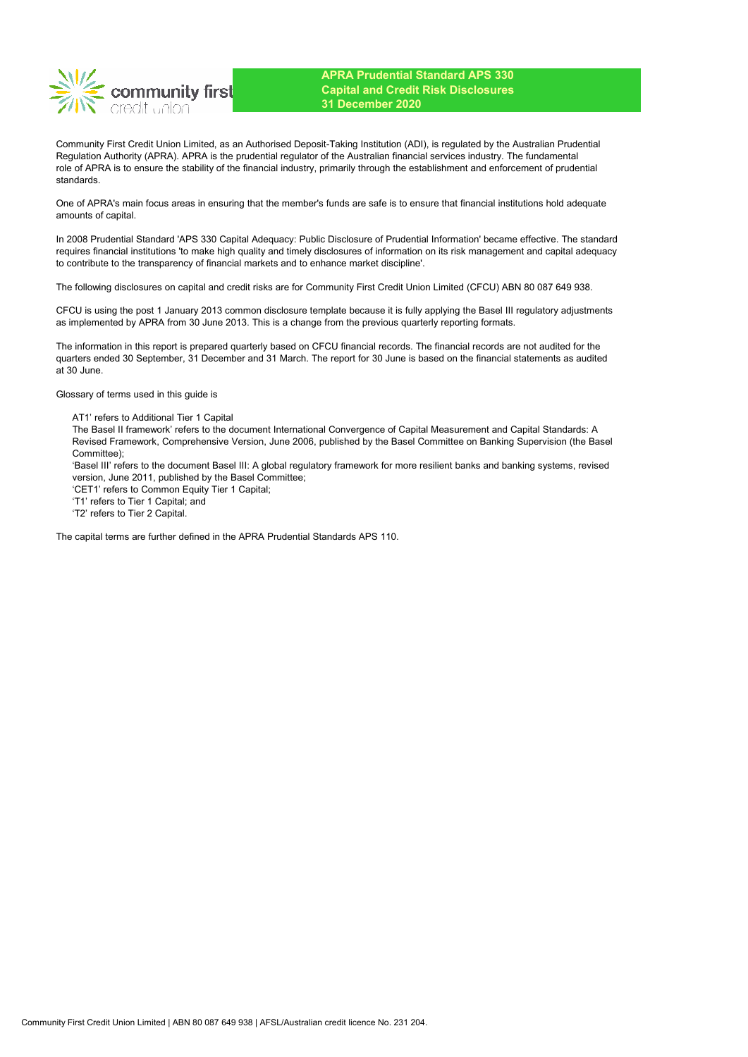

Community First Credit Union Limited, as an Authorised Deposit-Taking Institution (ADI), is regulated by the Australian Prudential Regulation Authority (APRA). APRA is the prudential regulator of the Australian financial services industry. The fundamental role of APRA is to ensure the stability of the financial industry, primarily through the establishment and enforcement of prudential standards.

One of APRA's main focus areas in ensuring that the member's funds are safe is to ensure that financial institutions hold adequate amounts of capital.

In 2008 Prudential Standard 'APS 330 Capital Adequacy: Public Disclosure of Prudential Information' became effective. The standard requires financial institutions 'to make high quality and timely disclosures of information on its risk management and capital adequacy to contribute to the transparency of financial markets and to enhance market discipline'.

The following disclosures on capital and credit risks are for Community First Credit Union Limited (CFCU) ABN 80 087 649 938.

CFCU is using the post 1 January 2013 common disclosure template because it is fully applying the Basel III regulatory adjustments as implemented by APRA from 30 June 2013. This is a change from the previous quarterly reporting formats.

The information in this report is prepared quarterly based on CFCU financial records. The financial records are not audited for the quarters ended 30 September, 31 December and 31 March. The report for 30 June is based on the financial statements as audited at 30 June.

Glossary of terms used in this guide is

AT1' refers to Additional Tier 1 Capital

The Basel II framework' refers to the document International Convergence of Capital Measurement and Capital Standards: A Revised Framework, Comprehensive Version, June 2006, published by the Basel Committee on Banking Supervision (the Basel Committee);

'Basel III' refers to the document Basel III: A global regulatory framework for more resilient banks and banking systems, revised version, June 2011, published by the Basel Committee;

'CET1' refers to Common Equity Tier 1 Capital;

'T1' refers to Tier 1 Capital; and

'T2' refers to Tier 2 Capital.

The capital terms are further defined in the APRA Prudential Standards APS 110.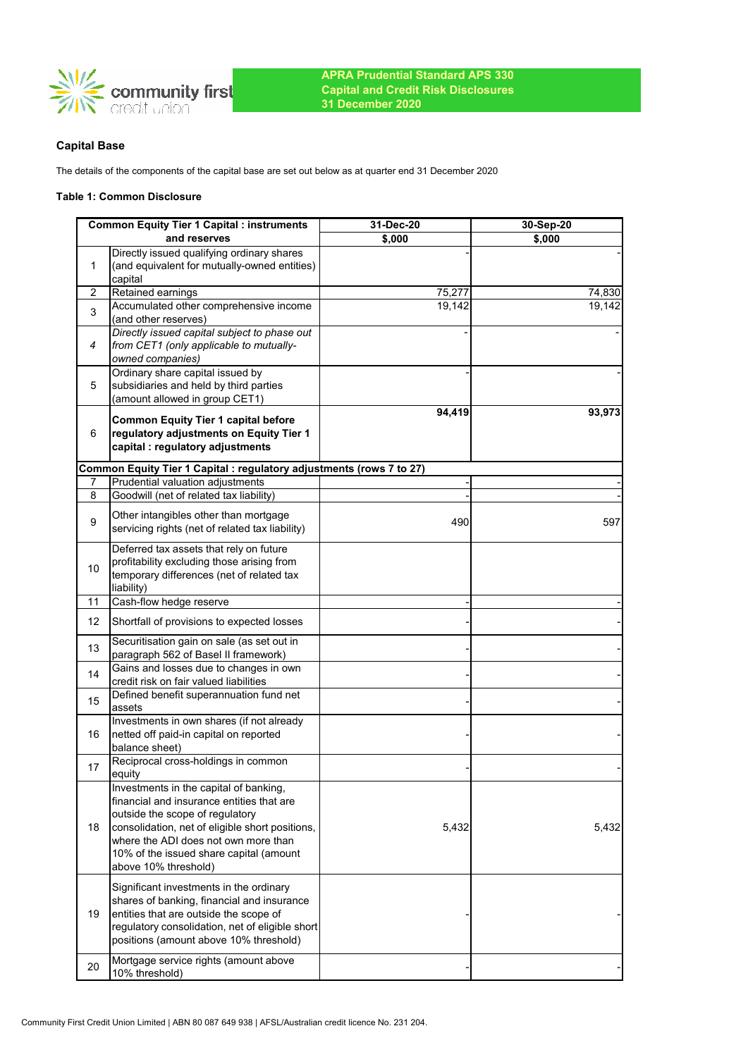

# **Capital Base**

The details of the components of the capital base are set out below as at quarter end 31 December 2020

### **Table 1: Common Disclosure**

|    | <b>Common Equity Tier 1 Capital : instruments</b>                                                                                                                                                                                                                                    | 31-Dec-20 | 30-Sep-20 |
|----|--------------------------------------------------------------------------------------------------------------------------------------------------------------------------------------------------------------------------------------------------------------------------------------|-----------|-----------|
|    | and reserves                                                                                                                                                                                                                                                                         | \$,000    | \$,000    |
| 1  | Directly issued qualifying ordinary shares<br>(and equivalent for mutually-owned entities)<br>capital                                                                                                                                                                                |           |           |
| 2  | Retained earnings                                                                                                                                                                                                                                                                    | 75,277    | 74,830    |
| 3  | Accumulated other comprehensive income<br>(and other reserves)                                                                                                                                                                                                                       | 19,142    | 19,142    |
| 4  | Directly issued capital subject to phase out<br>from CET1 (only applicable to mutually-<br>owned companies)                                                                                                                                                                          |           |           |
| 5  | Ordinary share capital issued by<br>subsidiaries and held by third parties<br>(amount allowed in group CET1)                                                                                                                                                                         |           |           |
| 6  | <b>Common Equity Tier 1 capital before</b><br>regulatory adjustments on Equity Tier 1<br>capital : regulatory adjustments                                                                                                                                                            | 94,419    | 93,973    |
|    | Common Equity Tier 1 Capital : regulatory adjustments (rows 7 to 27)                                                                                                                                                                                                                 |           |           |
| 7  | Prudential valuation adjustments                                                                                                                                                                                                                                                     |           |           |
| 8  | Goodwill (net of related tax liability)                                                                                                                                                                                                                                              |           |           |
| 9  | Other intangibles other than mortgage<br>servicing rights (net of related tax liability)                                                                                                                                                                                             | 490       | 597       |
| 10 | Deferred tax assets that rely on future<br>profitability excluding those arising from<br>temporary differences (net of related tax<br>liability)                                                                                                                                     |           |           |
| 11 | Cash-flow hedge reserve                                                                                                                                                                                                                                                              |           |           |
| 12 | Shortfall of provisions to expected losses                                                                                                                                                                                                                                           |           |           |
| 13 | Securitisation gain on sale (as set out in<br>paragraph 562 of Basel II framework)                                                                                                                                                                                                   |           |           |
| 14 | Gains and losses due to changes in own<br>credit risk on fair valued liabilities                                                                                                                                                                                                     |           |           |
| 15 | Defined benefit superannuation fund net<br>assets                                                                                                                                                                                                                                    |           |           |
| 16 | Investments in own shares (if not already<br>netted off paid-in capital on reported<br>balance sheet)                                                                                                                                                                                |           |           |
| 17 | Reciprocal cross-holdings in common<br>equity                                                                                                                                                                                                                                        |           |           |
| 18 | Investments in the capital of banking,<br>financial and insurance entities that are<br>outside the scope of regulatory<br>consolidation, net of eligible short positions,<br>where the ADI does not own more than<br>10% of the issued share capital (amount<br>above 10% threshold) | 5,432     | 5,432     |
| 19 | Significant investments in the ordinary<br>shares of banking, financial and insurance<br>entities that are outside the scope of<br>regulatory consolidation, net of eligible short<br>positions (amount above 10% threshold)                                                         |           |           |
| 20 | Mortgage service rights (amount above<br>10% threshold)                                                                                                                                                                                                                              |           |           |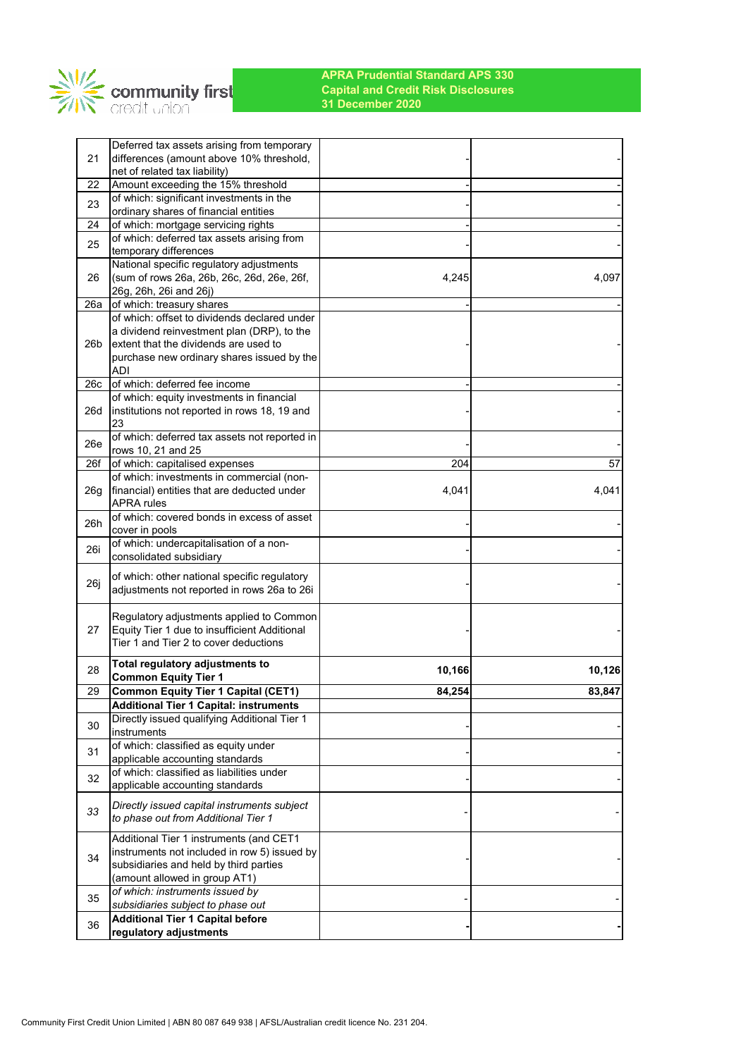

|                 | Deferred tax assets arising from temporary                                        |        |        |
|-----------------|-----------------------------------------------------------------------------------|--------|--------|
| 21              | differences (amount above 10% threshold,                                          |        |        |
|                 | net of related tax liability)                                                     |        |        |
| 22              | Amount exceeding the 15% threshold                                                |        |        |
| 23              | of which: significant investments in the<br>ordinary shares of financial entities |        |        |
| 24              | of which: mortgage servicing rights                                               |        |        |
|                 | of which: deferred tax assets arising from                                        |        |        |
| 25              | temporary differences                                                             |        |        |
|                 | National specific regulatory adjustments                                          |        |        |
| 26              | (sum of rows 26a, 26b, 26c, 26d, 26e, 26f,                                        | 4,245  | 4,097  |
|                 | 26g, 26h, 26i and 26j)                                                            |        |        |
| 26a             | of which: treasury shares                                                         |        |        |
|                 | of which: offset to dividends declared under                                      |        |        |
|                 | a dividend reinvestment plan (DRP), to the                                        |        |        |
| 26 <sub>b</sub> | extent that the dividends are used to                                             |        |        |
|                 | purchase new ordinary shares issued by the                                        |        |        |
| 26c             | ADI<br>of which: deferred fee income                                              |        |        |
|                 | of which: equity investments in financial                                         |        |        |
| 26d             | institutions not reported in rows 18, 19 and                                      |        |        |
|                 | 23                                                                                |        |        |
|                 | of which: deferred tax assets not reported in                                     |        |        |
| 26e             | rows 10, 21 and 25                                                                |        |        |
| 26f             | of which: capitalised expenses                                                    | 204    | 57     |
|                 | of which: investments in commercial (non-                                         |        |        |
| 26 <sub>g</sub> | financial) entities that are deducted under                                       | 4,041  | 4,041  |
|                 | <b>APRA</b> rules                                                                 |        |        |
| 26h             | of which: covered bonds in excess of asset<br>cover in pools                      |        |        |
|                 | of which: undercapitalisation of a non-                                           |        |        |
| 26i             | consolidated subsidiary                                                           |        |        |
|                 | of which: other national specific regulatory                                      |        |        |
| 26j             | adjustments not reported in rows 26a to 26i                                       |        |        |
|                 |                                                                                   |        |        |
|                 | Regulatory adjustments applied to Common                                          |        |        |
| 27              | Equity Tier 1 due to insufficient Additional                                      |        |        |
|                 | Tier 1 and Tier 2 to cover deductions                                             |        |        |
|                 | Total regulatory adjustments to                                                   |        |        |
| 28              | <b>Common Equity Tier 1</b>                                                       | 10,166 | 10,126 |
| 29              | <b>Common Equity Tier 1 Capital (CET1)</b>                                        | 84,254 | 83,847 |
|                 | <b>Additional Tier 1 Capital: instruments</b>                                     |        |        |
| 30              | Directly issued qualifying Additional Tier 1                                      |        |        |
|                 | instruments                                                                       |        |        |
| 31              | of which: classified as equity under                                              |        |        |
|                 | applicable accounting standards<br>of which: classified as liabilities under      |        |        |
| 32              | applicable accounting standards                                                   |        |        |
|                 |                                                                                   |        |        |
| 33              | Directly issued capital instruments subject                                       |        |        |
|                 | to phase out from Additional Tier 1                                               |        |        |
|                 | Additional Tier 1 instruments (and CET1                                           |        |        |
| 34              | instruments not included in row 5) issued by                                      |        |        |
|                 | subsidiaries and held by third parties                                            |        |        |
|                 | (amount allowed in group AT1)                                                     |        |        |
| 35              | of which: instruments issued by                                                   |        |        |
|                 | subsidiaries subject to phase out                                                 |        |        |
| 36              | <b>Additional Tier 1 Capital before</b>                                           |        |        |
|                 | regulatory adjustments                                                            |        |        |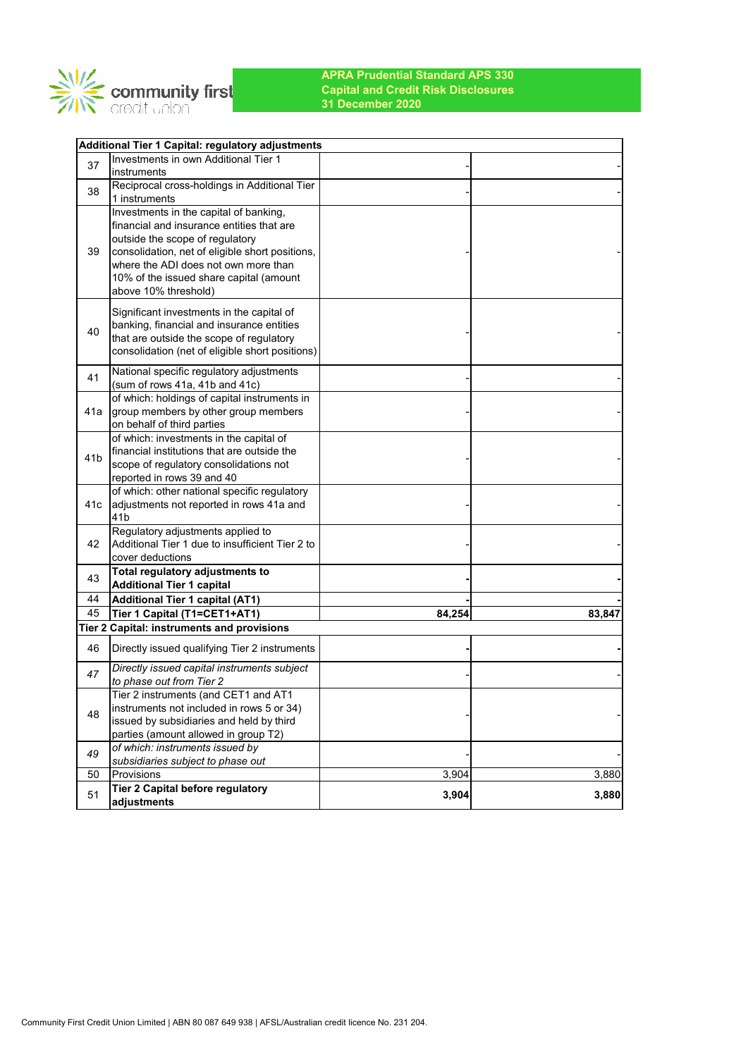

|                 | Additional Tier 1 Capital: regulatory adjustments                                    |        |        |
|-----------------|--------------------------------------------------------------------------------------|--------|--------|
| 37              | Investments in own Additional Tier 1                                                 |        |        |
|                 | instruments                                                                          |        |        |
| 38              | Reciprocal cross-holdings in Additional Tier                                         |        |        |
|                 | 1 instruments                                                                        |        |        |
|                 | Investments in the capital of banking,                                               |        |        |
|                 | financial and insurance entities that are                                            |        |        |
|                 | outside the scope of regulatory                                                      |        |        |
| 39              | consolidation, net of eligible short positions,                                      |        |        |
|                 | where the ADI does not own more than                                                 |        |        |
|                 | 10% of the issued share capital (amount                                              |        |        |
|                 | above 10% threshold)                                                                 |        |        |
|                 | Significant investments in the capital of                                            |        |        |
|                 | banking, financial and insurance entities                                            |        |        |
| 40              | that are outside the scope of regulatory                                             |        |        |
|                 | consolidation (net of eligible short positions)                                      |        |        |
|                 |                                                                                      |        |        |
| 41              | National specific regulatory adjustments                                             |        |        |
|                 | (sum of rows 41a, 41b and 41c)                                                       |        |        |
|                 | of which: holdings of capital instruments in                                         |        |        |
| 41a             | group members by other group members                                                 |        |        |
|                 | on behalf of third parties                                                           |        |        |
|                 | of which: investments in the capital of                                              |        |        |
| 41 <sub>b</sub> | financial institutions that are outside the                                          |        |        |
|                 | scope of regulatory consolidations not                                               |        |        |
|                 | reported in rows 39 and 40                                                           |        |        |
|                 | of which: other national specific regulatory                                         |        |        |
| 41c             | adjustments not reported in rows 41a and<br>41 <sub>b</sub>                          |        |        |
|                 |                                                                                      |        |        |
| 42              | Regulatory adjustments applied to<br>Additional Tier 1 due to insufficient Tier 2 to |        |        |
|                 | cover deductions                                                                     |        |        |
|                 | Total regulatory adjustments to                                                      |        |        |
| 43              | <b>Additional Tier 1 capital</b>                                                     |        |        |
| 44              | <b>Additional Tier 1 capital (AT1)</b>                                               |        |        |
| 45              | Tier 1 Capital (T1=CET1+AT1)                                                         | 84,254 | 83,847 |
|                 | Tier 2 Capital: instruments and provisions                                           |        |        |
|                 |                                                                                      |        |        |
| 46              | Directly issued qualifying Tier 2 instruments                                        |        |        |
|                 | Directly issued capital instruments subject                                          |        |        |
| 47              | to phase out from Tier 2                                                             |        |        |
|                 | Tier 2 instruments (and CET1 and AT1                                                 |        |        |
|                 | instruments not included in rows 5 or 34)                                            |        |        |
| 48              | issued by subsidiaries and held by third                                             |        |        |
|                 | parties (amount allowed in group T2)                                                 |        |        |
| 49              | of which: instruments issued by                                                      |        |        |
|                 | subsidiaries subject to phase out                                                    |        |        |
| 50              | Provisions                                                                           | 3,904  | 3,880  |
| 51              | Tier 2 Capital before regulatory                                                     | 3,904  | 3,880  |
|                 | adjustments                                                                          |        |        |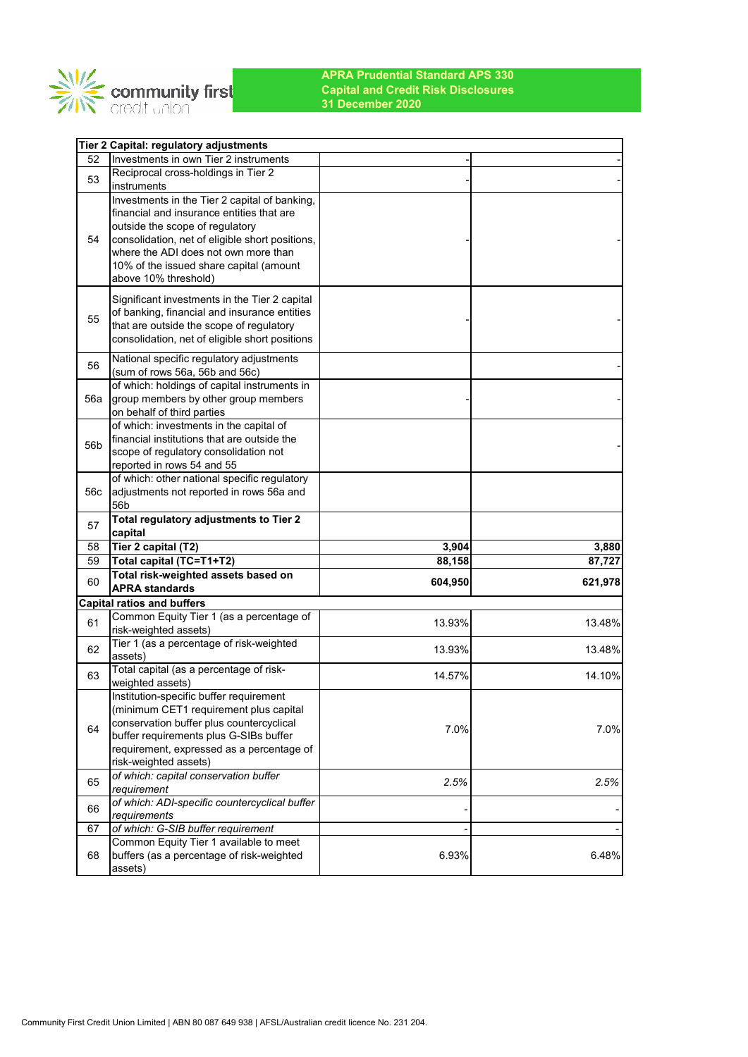

|                 | Tier 2 Capital: regulatory adjustments                                       |         |         |
|-----------------|------------------------------------------------------------------------------|---------|---------|
| 52              | Investments in own Tier 2 instruments                                        |         |         |
| 53              | Reciprocal cross-holdings in Tier 2                                          |         |         |
|                 | instruments                                                                  |         |         |
|                 | Investments in the Tier 2 capital of banking,                                |         |         |
|                 | financial and insurance entities that are<br>outside the scope of regulatory |         |         |
| 54              | consolidation, net of eligible short positions,                              |         |         |
|                 | where the ADI does not own more than                                         |         |         |
|                 | 10% of the issued share capital (amount                                      |         |         |
|                 | above 10% threshold)                                                         |         |         |
|                 | Significant investments in the Tier 2 capital                                |         |         |
|                 | of banking, financial and insurance entities                                 |         |         |
| 55              | that are outside the scope of regulatory                                     |         |         |
|                 | consolidation, net of eligible short positions                               |         |         |
|                 | National specific regulatory adjustments                                     |         |         |
| 56              | (sum of rows 56a, 56b and 56c)                                               |         |         |
|                 | of which: holdings of capital instruments in                                 |         |         |
| 56a             | group members by other group members                                         |         |         |
|                 | on behalf of third parties                                                   |         |         |
|                 | of which: investments in the capital of                                      |         |         |
| 56 <sub>b</sub> | financial institutions that are outside the                                  |         |         |
|                 | scope of regulatory consolidation not<br>reported in rows 54 and 55          |         |         |
|                 | of which: other national specific regulatory                                 |         |         |
| 56c             | adjustments not reported in rows 56a and                                     |         |         |
|                 | 56 <sub>b</sub>                                                              |         |         |
| 57              | Total regulatory adjustments to Tier 2                                       |         |         |
|                 | capital                                                                      |         |         |
| 58<br>59        | Tier 2 capital (T2)                                                          | 3,904   | 3,880   |
|                 | Total capital (TC=T1+T2)<br>Total risk-weighted assets based on              | 88,158  | 87,727  |
| 60              | <b>APRA standards</b>                                                        | 604,950 | 621,978 |
|                 | <b>Capital ratios and buffers</b>                                            |         |         |
|                 | Common Equity Tier 1 (as a percentage of                                     |         |         |
| 61              | risk-weighted assets)                                                        | 13.93%  | 13.48%  |
| 62              | Tier 1 (as a percentage of risk-weighted                                     | 13.93%  | 13.48%  |
|                 | assets)                                                                      |         |         |
| 63              | Total capital (as a percentage of risk-                                      | 14.57%  | 14.10%  |
|                 | weighted assets)<br>Institution-specific buffer requirement                  |         |         |
|                 | (minimum CET1 requirement plus capital                                       |         |         |
|                 | conservation buffer plus countercyclical                                     |         |         |
| 64              | buffer requirements plus G-SIBs buffer                                       | 7.0%    | 7.0%    |
|                 | requirement, expressed as a percentage of                                    |         |         |
|                 | risk-weighted assets)                                                        |         |         |
| 65              | of which: capital conservation buffer                                        | 2.5%    | 2.5%    |
|                 | requirement                                                                  |         |         |
|                 | of which: ADI-specific countercyclical buffer                                |         |         |
| 66              |                                                                              |         |         |
|                 | requirements                                                                 |         |         |
| 67              | of which: G-SIB buffer requirement                                           |         |         |
|                 | Common Equity Tier 1 available to meet                                       |         |         |
| 68              | buffers (as a percentage of risk-weighted<br>assets)                         | 6.93%   | 6.48%   |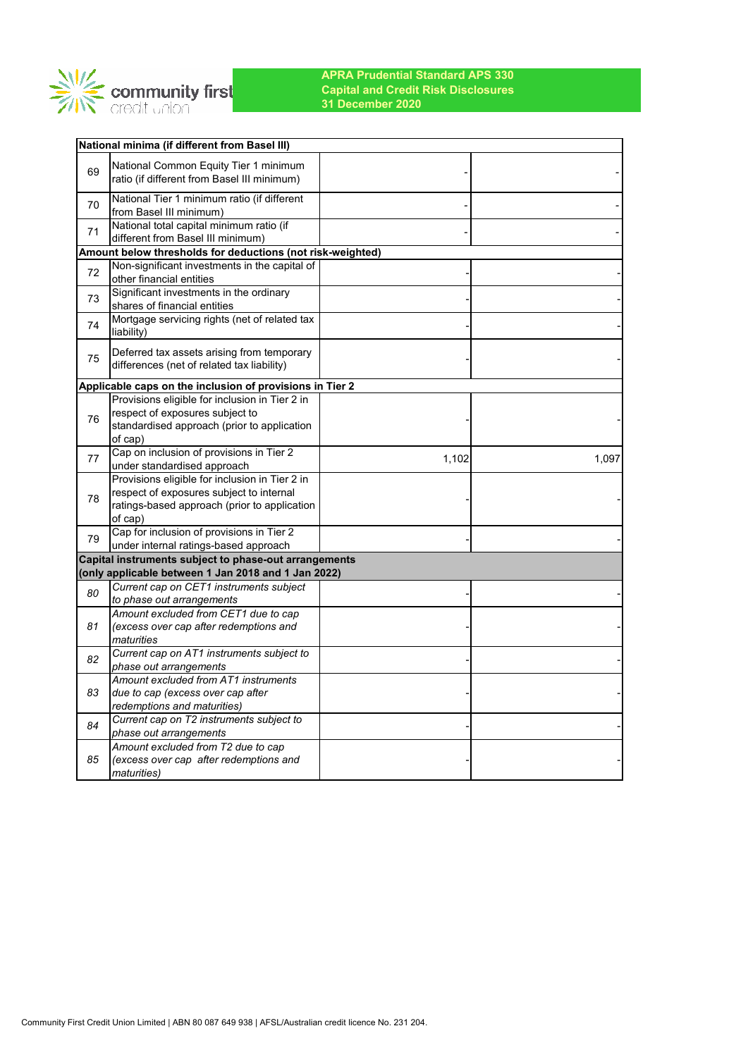

|    | National minima (if different from Basel III)                                 |       |       |
|----|-------------------------------------------------------------------------------|-------|-------|
|    | National Common Equity Tier 1 minimum                                         |       |       |
| 69 | ratio (if different from Basel III minimum)                                   |       |       |
| 70 | National Tier 1 minimum ratio (if different                                   |       |       |
|    | from Basel III minimum)                                                       |       |       |
| 71 | National total capital minimum ratio (if<br>different from Basel III minimum) |       |       |
|    | Amount below thresholds for deductions (not risk-weighted)                    |       |       |
|    | Non-significant investments in the capital of                                 |       |       |
| 72 | other financial entities                                                      |       |       |
| 73 | Significant investments in the ordinary                                       |       |       |
|    | shares of financial entities                                                  |       |       |
| 74 | Mortgage servicing rights (net of related tax<br>liability)                   |       |       |
|    | Deferred tax assets arising from temporary                                    |       |       |
| 75 | differences (net of related tax liability)                                    |       |       |
|    | Applicable caps on the inclusion of provisions in Tier 2                      |       |       |
|    | Provisions eligible for inclusion in Tier 2 in                                |       |       |
| 76 | respect of exposures subject to                                               |       |       |
|    | standardised approach (prior to application                                   |       |       |
|    | of cap)                                                                       |       |       |
| 77 | Cap on inclusion of provisions in Tier 2                                      | 1,102 | 1,097 |
|    | under standardised approach                                                   |       |       |
|    | Provisions eligible for inclusion in Tier 2 in                                |       |       |
| 78 | respect of exposures subject to internal                                      |       |       |
|    | ratings-based approach (prior to application<br>of cap)                       |       |       |
|    | Cap for inclusion of provisions in Tier 2                                     |       |       |
| 79 | under internal ratings-based approach                                         |       |       |
|    | Capital instruments subject to phase-out arrangements                         |       |       |
|    | (only applicable between 1 Jan 2018 and 1 Jan 2022)                           |       |       |
| 80 | Current cap on CET1 instruments subject                                       |       |       |
|    | to phase out arrangements                                                     |       |       |
|    | Amount excluded from CET1 due to cap                                          |       |       |
| 81 | (excess over cap after redemptions and<br>maturities                          |       |       |
|    | Current cap on AT1 instruments subject to                                     |       |       |
| 82 | phase out arrangements                                                        |       |       |
|    | Amount excluded from AT1 instruments                                          |       |       |
| 83 | due to cap (excess over cap after                                             |       |       |
|    | redemptions and maturities)                                                   |       |       |
| 84 | Current cap on T2 instruments subject to                                      |       |       |
|    | phase out arrangements<br>Amount excluded from T2 due to cap                  |       |       |
| 85 | (excess over cap after redemptions and                                        |       |       |
|    | <i>maturities</i> )                                                           |       |       |
|    |                                                                               |       |       |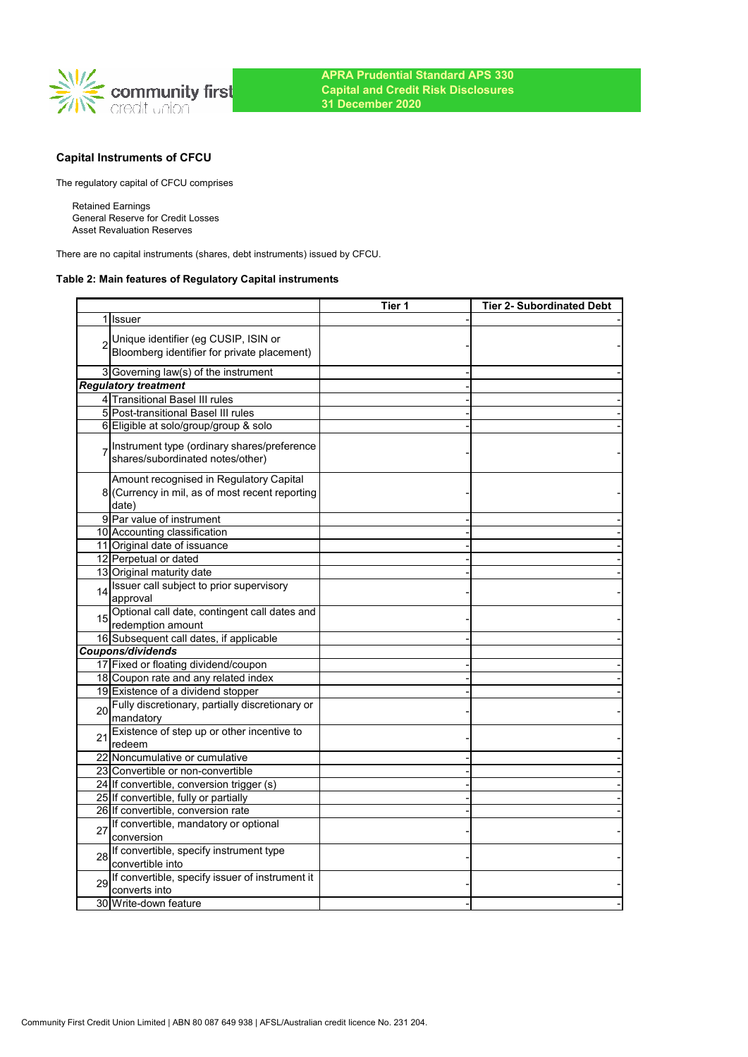

# **Capital Instruments of CFCU**

The regulatory capital of CFCU comprises

Retained Earnings General Reserve for Credit Losses Asset Revaluation Reserves

There are no capital instruments (shares, debt instruments) issued by CFCU.

## **Table 2: Main features of Regulatory Capital instruments**

|    |                                                                                                     | Tier 1 | <b>Tier 2- Subordinated Debt</b> |
|----|-----------------------------------------------------------------------------------------------------|--------|----------------------------------|
|    | 1 Issuer                                                                                            |        |                                  |
|    | Unique identifier (eg CUSIP, ISIN or<br>Bloomberg identifier for private placement)                 |        |                                  |
|    | 3 Governing law(s) of the instrument                                                                |        |                                  |
|    | <b>Regulatory treatment</b>                                                                         |        |                                  |
|    | 4 Transitional Basel III rules                                                                      |        |                                  |
|    | 5 Post-transitional Basel III rules                                                                 |        |                                  |
|    | 6 Eligible at solo/group/group & solo                                                               |        |                                  |
|    | Instrument type (ordinary shares/preference<br>shares/subordinated notes/other)                     |        |                                  |
|    | Amount recognised in Regulatory Capital<br>8 (Currency in mil, as of most recent reporting<br>date) |        |                                  |
|    | 9 Par value of instrument                                                                           |        |                                  |
|    | 10 Accounting classification                                                                        |        |                                  |
|    | 11 Original date of issuance                                                                        |        |                                  |
|    | 12 Perpetual or dated                                                                               |        |                                  |
|    | 13 Original maturity date                                                                           |        |                                  |
| 14 | Issuer call subject to prior supervisory<br>approval                                                |        |                                  |
|    | 15 Optional call date, contingent call dates and<br>redemption amount                               |        |                                  |
|    | 16 Subsequent call dates, if applicable                                                             |        |                                  |
|    | Coupons/dividends                                                                                   |        |                                  |
|    | 17 Fixed or floating dividend/coupon                                                                |        |                                  |
|    | 18 Coupon rate and any related index                                                                |        |                                  |
|    | 19 Existence of a dividend stopper                                                                  |        |                                  |
| 20 | Fully discretionary, partially discretionary or<br>mandatory                                        |        |                                  |
| 21 | Existence of step up or other incentive to<br>redeem                                                |        |                                  |
|    | 22 Noncumulative or cumulative                                                                      |        |                                  |
|    | 23 Convertible or non-convertible                                                                   |        |                                  |
|    | 24 If convertible, conversion trigger (s)                                                           |        |                                  |
|    | 25 If convertible, fully or partially                                                               |        |                                  |
|    | 26 If convertible, conversion rate                                                                  |        |                                  |
| 27 | If convertible, mandatory or optional<br>conversion                                                 |        |                                  |
| 28 | If convertible, specify instrument type<br>convertible into                                         |        |                                  |
| 29 | If convertible, specify issuer of instrument it<br>converts into                                    |        |                                  |
|    | 30 Write-down feature                                                                               |        |                                  |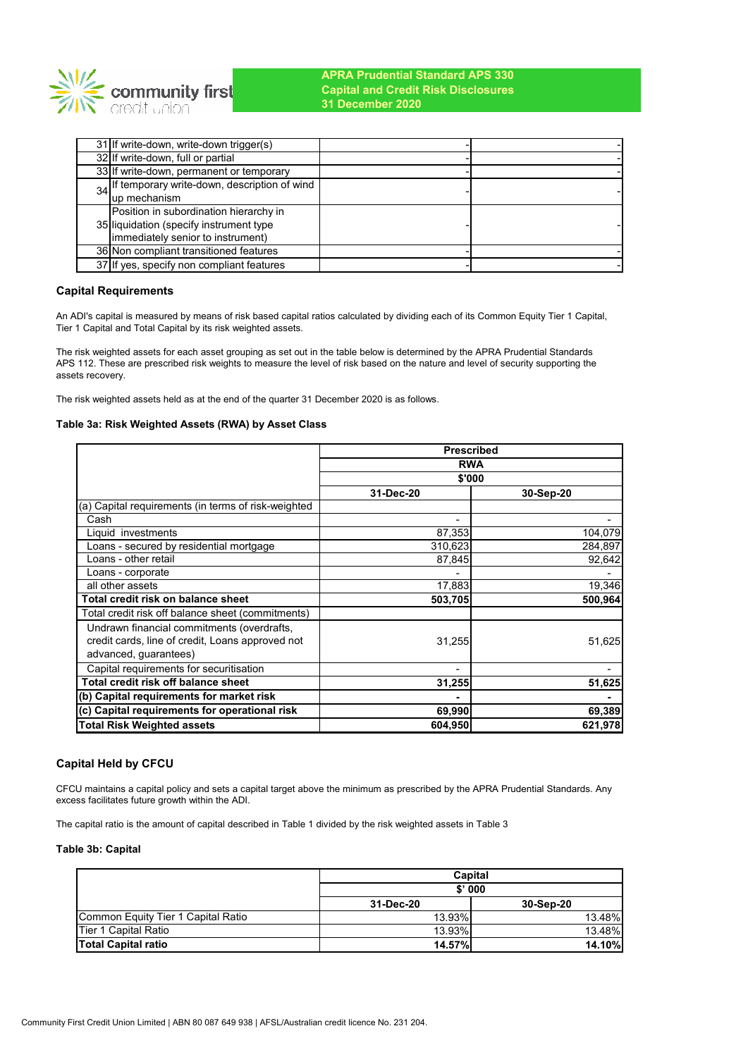

| 31 If write-down, write-down trigger(s)         |  |
|-------------------------------------------------|--|
| 32 If write-down, full or partial               |  |
| 33 If write-down, permanent or temporary        |  |
| 34 If temporary write-down, description of wind |  |
| up mechanism                                    |  |
| Position in subordination hierarchy in          |  |
| 35 liquidation (specify instrument type         |  |
| (immediately senior to instrument)              |  |
| 36 Non compliant transitioned features          |  |
| 37 If yes, specify non compliant features       |  |

## **Capital Requirements**

An ADI's capital is measured by means of risk based capital ratios calculated by dividing each of its Common Equity Tier 1 Capital, Tier 1 Capital and Total Capital by its risk weighted assets.

The risk weighted assets for each asset grouping as set out in the table below is determined by the APRA Prudential Standards APS 112. These are prescribed risk weights to measure the level of risk based on the nature and level of security supporting the assets recovery.

The risk weighted assets held as at the end of the quarter 31 December 2020 is as follows.

### **Table 3a: Risk Weighted Assets (RWA) by Asset Class**

|                                                     | <b>Prescribed</b>        |           |  |  |
|-----------------------------------------------------|--------------------------|-----------|--|--|
|                                                     | <b>RWA</b>               |           |  |  |
|                                                     | \$'000                   |           |  |  |
|                                                     | 31-Dec-20                | 30-Sep-20 |  |  |
| (a) Capital requirements (in terms of risk-weighted |                          |           |  |  |
| Cash                                                | $\overline{\phantom{0}}$ |           |  |  |
| Liquid investments                                  | 87,353                   | 104,079   |  |  |
| Loans - secured by residential mortgage             | 310,623                  | 284,897   |  |  |
| Loans - other retail                                | 87,845                   | 92,642    |  |  |
| Loans - corporate                                   |                          |           |  |  |
| all other assets                                    | 17,883                   | 19,346    |  |  |
| Total credit risk on balance sheet                  | 503,705                  | 500,964   |  |  |
| Total credit risk off balance sheet (commitments)   |                          |           |  |  |
| Undrawn financial commitments (overdrafts,          |                          |           |  |  |
| credit cards, line of credit, Loans approved not    | 31,255                   | 51,625    |  |  |
| advanced, guarantees)                               |                          |           |  |  |
| Capital requirements for securitisation             |                          |           |  |  |
| Total credit risk off balance sheet                 | 31,255                   | 51,625    |  |  |
| (b) Capital requirements for market risk            |                          |           |  |  |
| (c) Capital requirements for operational risk       | 69,990                   | 69,389    |  |  |
| Total Risk Weighted assets                          | 604,950                  | 621,978   |  |  |

## **Capital Held by CFCU**

CFCU maintains a capital policy and sets a capital target above the minimum as prescribed by the APRA Prudential Standards. Any excess facilitates future growth within the ADI.

The capital ratio is the amount of capital described in Table 1 divided by the risk weighted assets in Table 3

### **Table 3b: Capital**

|                                    | Capital       |               |  |
|------------------------------------|---------------|---------------|--|
|                                    | \$'000        |               |  |
|                                    | 31-Dec-20     | 30-Sep-20     |  |
| Common Equity Tier 1 Capital Ratio | 13.93%        | 13.48%        |  |
| Tier 1 Capital Ratio               | 13.93%        | 13.48%        |  |
| <b>Total Capital ratio</b>         | <b>14.57%</b> | <b>14.10%</b> |  |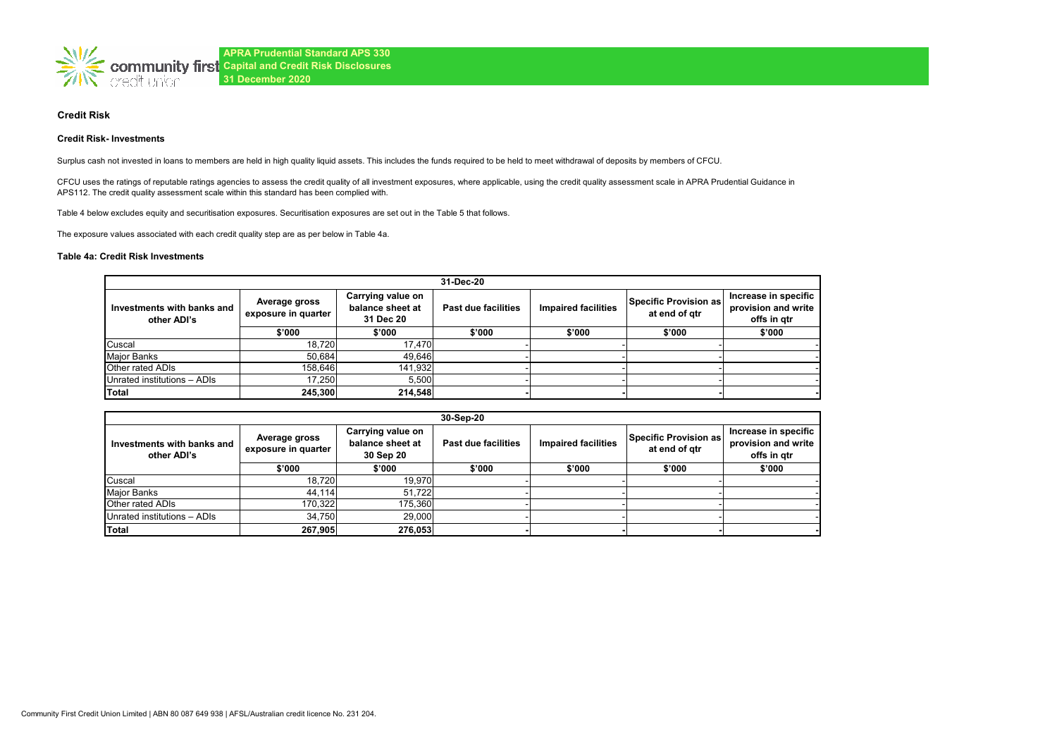

### **Credit Risk**

#### **Credit Risk- Investments**

Surplus cash not invested in loans to members are held in high quality liquid assets. This includes the funds required to be held to meet withdrawal of deposits by members of CFCU.

CFCU uses the ratings of reputable ratings agencies to assess the credit quality of all investment exposures, where applicable, using the credit quality assessment scale in APRA Prudential Guidance in APS112. The credit quality assessment scale within this standard has been complied with.

Table 4 below excludes equity and securitisation exposures. Securitisation exposures are set out in the Table 5 that follows.

The exposure values associated with each credit quality step are as per below in Table 4a.

### **Table 4a: Credit Risk Investments**

| 31-Dec-20                                 |                                                                                            |         |                     |                            |                                        |                                                            |  |
|-------------------------------------------|--------------------------------------------------------------------------------------------|---------|---------------------|----------------------------|----------------------------------------|------------------------------------------------------------|--|
| Investments with banks and<br>other ADI's | Carrying value on<br>Average gross<br>balance sheet at<br>exposure in quarter<br>31 Dec 20 |         | Past due facilities | <b>Impaired facilities</b> | Specific Provision as<br>at end of gtr | Increase in specific<br>provision and write<br>offs in gtr |  |
|                                           | \$'000                                                                                     | \$'000  | \$'000              | \$'000                     | \$'000                                 | \$'000                                                     |  |
| Cuscal                                    | 18.720                                                                                     | 17.470  |                     |                            |                                        |                                                            |  |
| Major Banks                               | 50.684                                                                                     | 49,646  |                     |                            |                                        |                                                            |  |
| Other rated ADIs                          | 158.646                                                                                    | 141.932 |                     |                            |                                        |                                                            |  |
| Unrated institutions - ADIs               | 17.250                                                                                     | 5.500   |                     |                            |                                        |                                                            |  |
| <b>Total</b>                              | 245,300                                                                                    | 214,548 |                     |                            |                                        |                                                            |  |

| 30-Sep-20                                 |                                                                                            |         |                            |                            |                                        |                                                            |  |
|-------------------------------------------|--------------------------------------------------------------------------------------------|---------|----------------------------|----------------------------|----------------------------------------|------------------------------------------------------------|--|
| Investments with banks and<br>other ADI's | Carrying value on<br>Average gross<br>balance sheet at<br>exposure in quarter<br>30 Sep 20 |         | <b>Past due facilities</b> | <b>Impaired facilities</b> | Specific Provision as<br>at end of gtr | Increase in specific<br>provision and write<br>offs in atr |  |
|                                           | \$'000                                                                                     | \$'000  | \$'000                     | \$'000                     | \$'000                                 | \$'000                                                     |  |
| Cuscal                                    | 18.720                                                                                     | 19,970  |                            |                            |                                        |                                                            |  |
| <b>Major Banks</b>                        | 44.114                                                                                     | 51.722  |                            |                            |                                        |                                                            |  |
| Other rated ADIs                          | 170.322                                                                                    | 175,360 |                            |                            |                                        |                                                            |  |
| Unrated institutions - ADIs               | 34.750                                                                                     | 29,000  |                            |                            |                                        |                                                            |  |
| Total                                     | 267,905                                                                                    | 276,053 |                            |                            |                                        |                                                            |  |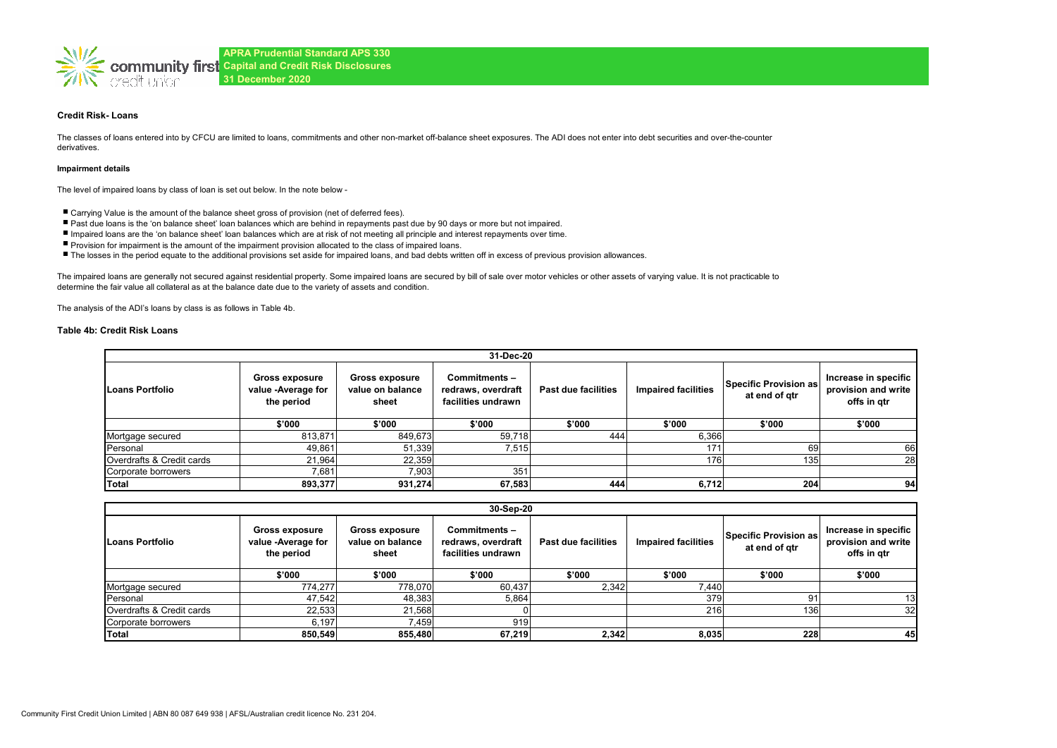

### **Credit Risk- Loans**

The classes of loans entered into by CFCU are limited to loans, commitments and other non-market off-balance sheet exposures. The ADI does not enter into debt securities and over-the-counter derivatives.

#### **Impairment details**

The level of impaired loans by class of loan is set out below. In the note below -

- Carrying Value is the amount of the balance sheet gross of provision (net of deferred fees).
- Past due loans is the 'on balance sheet' loan balances which are behind in repayments past due by 90 days or more but not impaired.
- Impaired loans are the 'on balance sheet' loan balances which are at risk of not meeting all principle and interest repayments over time.
- Provision for impairment is the amount of the impairment provision allocated to the class of impaired loans.
- The losses in the period equate to the additional provisions set aside for impaired loans, and bad debts written off in excess of previous provision allowances.

The impaired loans are generally not secured against residential property. Some impaired loans are secured by bill of sale over motor vehicles or other assets of varying value. It is not practicable to determine the fair value all collateral as at the balance date due to the variety of assets and condition.

The analysis of the ADI's loans by class is as follows in Table 4b.

#### **Table 4b: Credit Risk Loans**

| 31-Dec-20                 |                                                           |                                                    |                                                          |                     |                            |                                        |                                                            |  |
|---------------------------|-----------------------------------------------------------|----------------------------------------------------|----------------------------------------------------------|---------------------|----------------------------|----------------------------------------|------------------------------------------------------------|--|
| Loans Portfolio           | <b>Gross exposure</b><br>value -Average for<br>the period | <b>Gross exposure</b><br>value on balance<br>sheet | Commitments-<br>redraws, overdraft<br>facilities undrawn | Past due facilities | <b>Impaired facilities</b> | Specific Provision as<br>at end of gtr | Increase in specific<br>provision and write<br>offs in gtr |  |
|                           | \$'000                                                    | \$'000                                             | \$'000                                                   | \$'000              | \$'000                     | \$'000                                 | \$'000                                                     |  |
| Mortgage secured          | 813,871                                                   | 849,673                                            | 59,718                                                   | 444                 | 6,366                      |                                        |                                                            |  |
| Personal                  | 49,861                                                    | 51,339                                             | 7,515                                                    |                     | 171.                       | 69                                     | 66                                                         |  |
| Overdrafts & Credit cards | 21,964                                                    | 22,359                                             |                                                          |                     | 176                        | 135                                    | <b>28</b>                                                  |  |
| Corporate borrowers       | 7,681                                                     | 7,903                                              | 351                                                      |                     |                            |                                        |                                                            |  |
| Total                     | 893,377                                                   | 931,274                                            | 67,583                                                   | 444                 | 6,712                      | 204                                    | 94                                                         |  |

| 30-Sep-20                 |                                                           |                                                    |                                                           |                     |                            |                                        |                                                            |
|---------------------------|-----------------------------------------------------------|----------------------------------------------------|-----------------------------------------------------------|---------------------|----------------------------|----------------------------------------|------------------------------------------------------------|
| <b>Loans Portfolio</b>    | <b>Gross exposure</b><br>value -Average for<br>the period | <b>Gross exposure</b><br>value on balance<br>sheet | Commitments –<br>redraws, overdraft<br>facilities undrawn | Past due facilities | <b>Impaired facilities</b> | Specific Provision as<br>at end of gtr | Increase in specific<br>provision and write<br>offs in gtr |
|                           | \$'000                                                    | \$'000                                             | \$'000                                                    | \$'000              | \$'000                     | \$'000                                 | \$'000                                                     |
| Mortgage secured          | 774,277                                                   | 778,070                                            | 60.437                                                    | 2,342               | 7.440                      |                                        |                                                            |
| Personal                  | 47,542                                                    | 48,383                                             | 5,864                                                     |                     | 379                        |                                        | 13                                                         |
| Overdrafts & Credit cards | 22,533                                                    | 21,568                                             |                                                           |                     | 216                        | 1361                                   | 32 <sub>l</sub>                                            |
| Corporate borrowers       | 6,197                                                     | 7.459                                              | 919                                                       |                     |                            |                                        |                                                            |
| <b>Total</b>              | 850,549                                                   | 855,480                                            | 67.219                                                    | 2,342               | 8.035                      | 228                                    | 45                                                         |